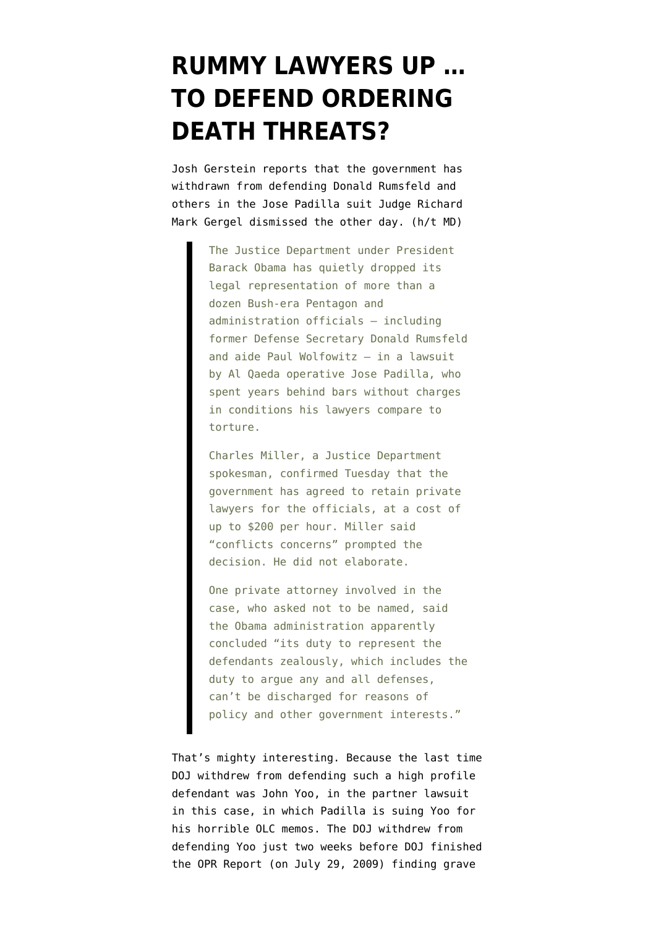## **[RUMMY LAWYERS UP …](https://www.emptywheel.net/2011/02/22/rummy-lawyers-up-to-defend-ordering-death-threats/) [TO DEFEND ORDERING](https://www.emptywheel.net/2011/02/22/rummy-lawyers-up-to-defend-ordering-death-threats/) [DEATH THREATS?](https://www.emptywheel.net/2011/02/22/rummy-lawyers-up-to-defend-ordering-death-threats/)**

Josh Gerstein [reports](http://www.politico.com/news/stories/0211/49998.html) that the government has withdrawn from defending Donald Rumsfeld and others in the Jose Padilla suit Judge Richard Mark Gergel [dismissed](http://emptywheel.firedoglake.com/2011/02/18/judge-padilla-cant-sue-for-torture-because-justification-for-his-torture-was-based-on-torture/) the other day. (h/t [MD](http://emptywheel.firedoglake.com/2011/02/22/its-not-the-pakistanis-from-whom-papers-were-withholding-davis-cia-affiliation/#comment-276089))

> The Justice Department under President Barack Obama has quietly dropped its legal representation of more than a dozen Bush-era Pentagon and administration officials – including former Defense Secretary Donald Rumsfeld and aide Paul Wolfowitz – in a lawsuit by Al Qaeda operative Jose Padilla, who spent years behind bars without charges in conditions his lawyers compare to torture.

Charles Miller, a Justice Department spokesman, confirmed Tuesday that the government has agreed to retain private lawyers for the officials, at a cost of up to \$200 per hour. Miller said "conflicts concerns" prompted the decision. He did not elaborate.

One private attorney involved in the case, who asked not to be named, said the Obama administration apparently concluded "its duty to represent the defendants zealously, which includes the duty to argue any and all defenses, can't be discharged for reasons of policy and other government interests."

That's mighty interesting. Because the last time DOJ withdrew from defending such a high profile defendant [was John Yoo](http://emptywheel.firedoglake.com/2009/07/13/yoo-lawyers-up-for-a-shot-at-the-9th/), in the partner lawsuit in this case, in which Padilla is suing Yoo for his horrible OLC memos. The DOJ withdrew from defending Yoo just two weeks before DOJ finished the [OPR Report](http://judiciary.house.gov/hearings/pdf/OPRFinalReport090729.pdf) (on July 29, 2009) finding grave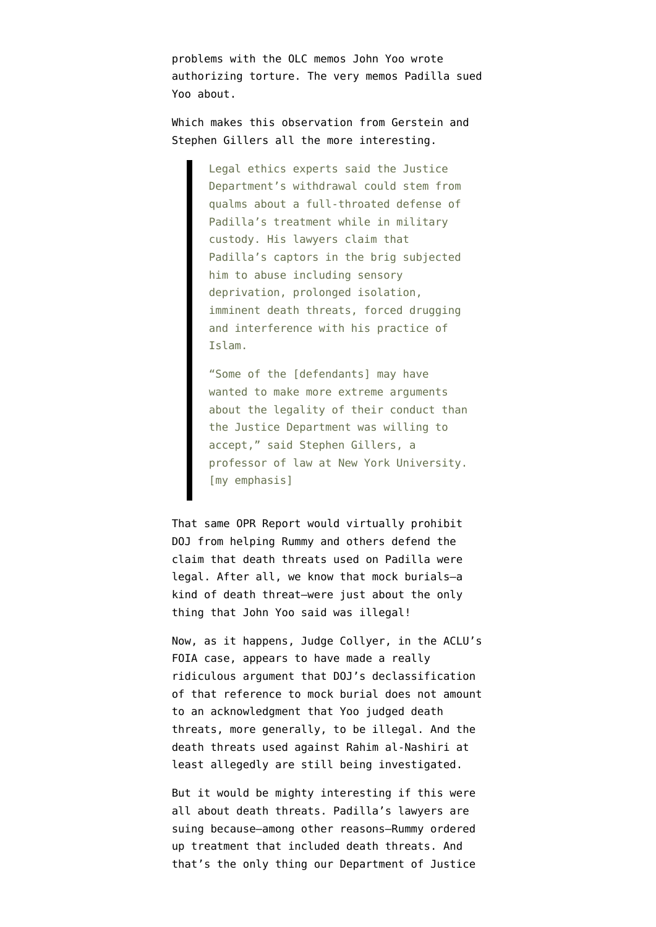problems with the OLC memos John Yoo wrote authorizing torture. The very memos Padilla sued Yoo about.

Which makes this observation from Gerstein and Stephen Gillers all the more interesting.

> Legal ethics experts said the Justice Department's withdrawal could stem from qualms about a full-throated defense of Padilla's treatment while in military custody. His lawyers claim that Padilla's captors in the brig subjected him to abuse including sensory deprivation, prolonged isolation, imminent death threats, forced drugging and interference with his practice of Islam.

"Some of the [defendants] may have wanted to make more extreme arguments about the legality of their conduct than the Justice Department was willing to accept," said Stephen Gillers, a professor of law at New York University. [my emphasis]

That same OPR Report would virtually prohibit DOJ from helping Rummy and others defend the claim that death threats used on Padilla were legal. After all, we know that [mock burials](http://emptywheel.firedoglake.com/2010/02/25/the-mock-burial-in-the-opr-report/)–a kind of death threat–were just about the only thing that John Yoo said was illegal!

Now, as it happens, Judge Collyer, in the ACLU's FOIA case, appears to have made a [really](http://emptywheel.firedoglake.com/2011/02/14/judge-government-can-shield-its-conversations-about-engaging-in-torture/) [ridiculous argument](http://emptywheel.firedoglake.com/2011/02/14/judge-government-can-shield-its-conversations-about-engaging-in-torture/) that DOJ's declassification of that reference to mock burial does not amount to an acknowledgment that Yoo judged death threats, more generally, to be illegal. And the death threats used against Rahim al-Nashiri at least allegedly are still being investigated.

But it would be mighty interesting if this were all about death threats. Padilla's lawyers are suing because–among other reasons–Rummy ordered up treatment that included death threats. And that's the only thing our Department of Justice